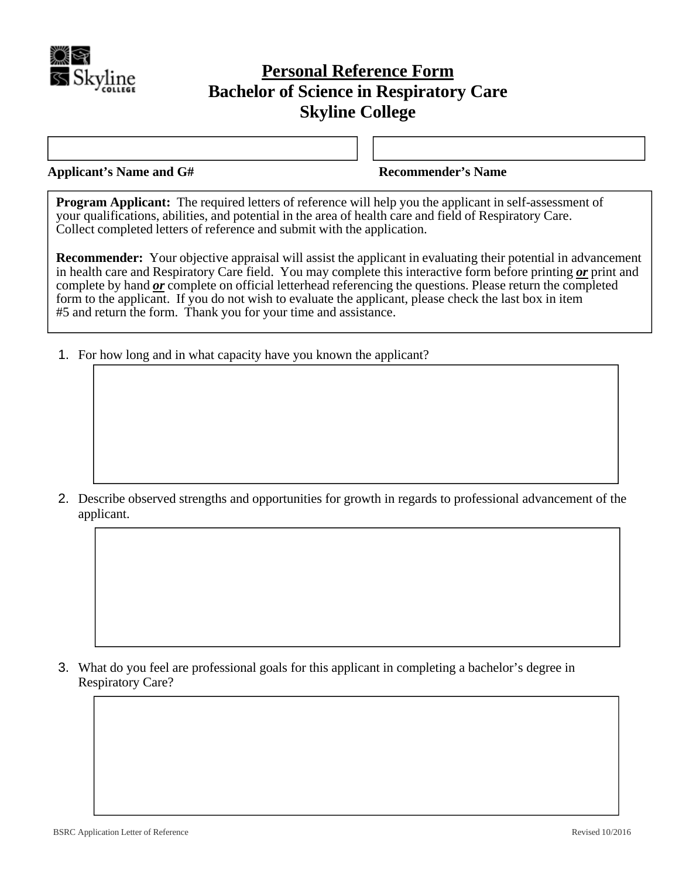

## **Personal Reference Form Bachelor of Science in Respiratory Care Skyline College**

**Applicant's Name and G# Recommender's Name** 

**Program Applicant:** The required letters of reference will help you the applicant in self-assessment of your qualifications, abilities, and potential in the area of health care and field of Respiratory Care. Collect completed letters of reference and submit with the application.

**Recommender:** Your objective appraisal will assist the applicant in evaluating their potential in advancement in health care and Respiratory Care field. You may complete this interactive form before printing *or* print and complete by hand *or* complete on official letterhead referencing the questions. Please return the completed form to the applicant. If you do not wish to evaluate the applicant, please check the last box in item #5 and return the form. Thank you for your time and assistance.

1. For how long and in what capacity have you known the applicant?

2. Describe observed strengths and opportunities for growth in regards to professional advancement of the applicant.

3. What do you feel are professional goals for this applicant in completing a bachelor's degree in Respiratory Care?